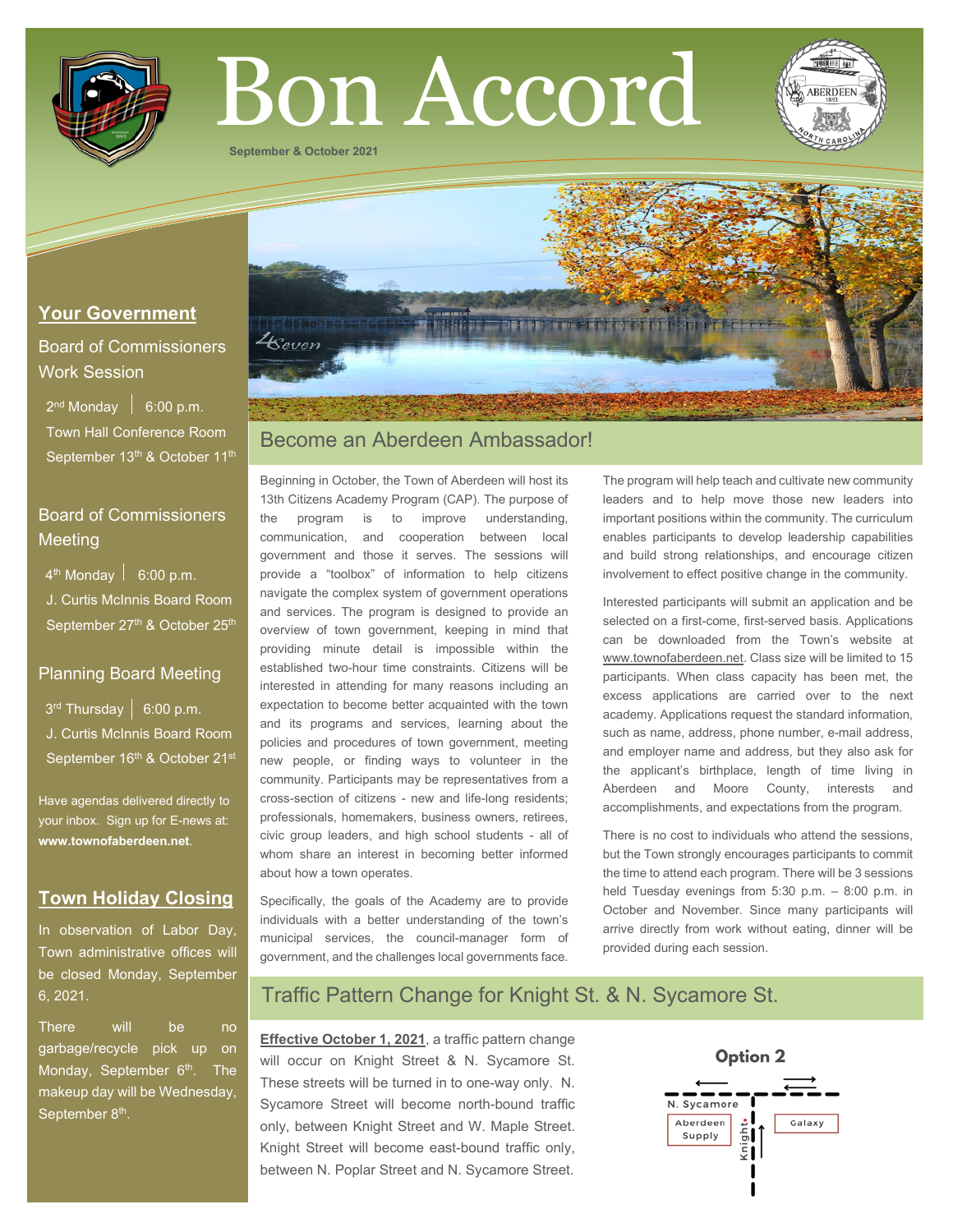

# Bon Accord

**September & October 2021**

## **Your Government**

Board of Commissioners Work Session

 $2^{nd}$  Monday  $\left| 6:00 \text{ p.m.} \right|$  Town Hall Conference Room September 13<sup>th</sup> & October 11<sup>th</sup>

## Board of Commissioners **Meeting**

 $4<sup>th</sup>$  Monday  $\vert$  6:00 p.m.

 J. Curtis McInnis Board Room September 27<sup>th</sup> & October 25<sup>th</sup>

## Planning Board Meeting

 $3<sup>rd</sup>$  Thursday | 6:00 p.m. J. Curtis McInnis Board Room September 16<sup>th</sup> & October 21<sup>st</sup>

Have agendas delivered directly to your inbox. Sign up for E-news at: **[www.townofaberdeen.net](http://www.townofaberdeen.net/)**.

## **Town Holiday Closing**

In observation of Labor Day, Town administrative offices will be closed Monday, September 6, 2021.

There will be no garbage/recycle pick up on Monday, September 6<sup>th</sup>. The makeup day will be Wednesday, September 8<sup>th</sup>.



# Become an Aberdeen Ambassador!

Beginning in October, the Town of Aberdeen will host its 13th Citizens Academy Program (CAP). The purpose of the program is to improve understanding, communication, and cooperation between local government and those it serves. The sessions will provide a "toolbox" of information to help citizens navigate the complex system of government operations and services. The program is designed to provide an overview of town government, keeping in mind that providing minute detail is impossible within the established two-hour time constraints. Citizens will be interested in attending for many reasons including an expectation to become better acquainted with the town and its programs and services, learning about the policies and procedures of town government, meeting new people, or finding ways to volunteer in the community. Participants may be representatives from a cross-section of citizens - new and life-long residents; professionals, homemakers, business owners, retirees, civic group leaders, and high school students - all of whom share an interest in becoming better informed about how a town operates.

Specifically, the goals of the Academy are to provide individuals with a better understanding of the town's municipal services, the council-manager form of government, and the challenges local governments face.

The program will help teach and cultivate new community leaders and to help move those new leaders into important positions within the community. The curriculum enables participants to develop leadership capabilities and build strong relationships, and encourage citizen involvement to effect positive change in the community.

Interested participants will submit an application and be selected on a first-come, first-served basis. Applications can be downloaded from the Town's website at www.townofaberdeen.net. Class size will be limited to 15 participants. When class capacity has been met, the excess applications are carried over to the next academy. Applications request the standard information, such as name, address, phone number, e-mail address, and employer name and address, but they also ask for the applicant's birthplace, length of time living in Aberdeen and Moore County, interests and accomplishments, and expectations from the program.

There is no cost to individuals who attend the sessions, but the Town strongly encourages participants to commit the time to attend each program. There will be 3 sessions held Tuesday evenings from 5:30 p.m. – 8:00 p.m. in October and November. Since many participants will arrive directly from work without eating, dinner will be provided during each session.

# Traffic Pattern Change for Knight St. & N. Sycamore St.

**Effective October 1, 2021**, a traffic pattern change will occur on Knight Street & N. Sycamore St. These streets will be turned in to one-way only. N. Sycamore Street will become north-bound traffic only, between Knight Street and W. Maple Street. Knight Street will become east-bound traffic only, between N. Poplar Street and N. Sycamore Street.